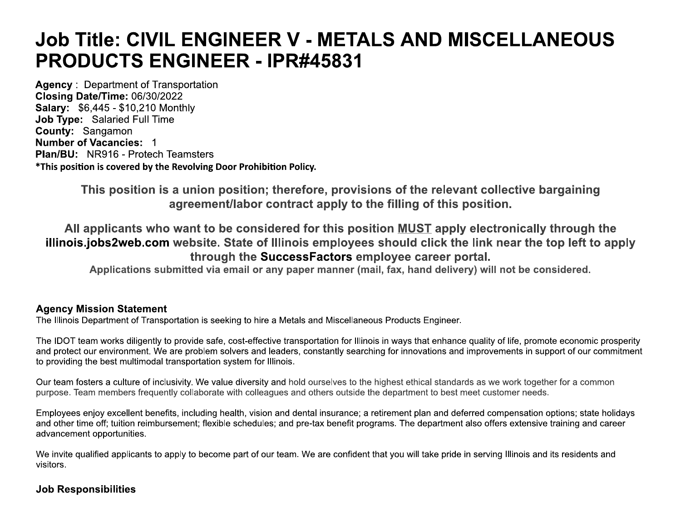# **Job Title: CIVIL ENGINEER V - METALS AND MISCELLANEOUS PRODUCTS ENGINEER - IPR#45831**

**Agency: Department of Transportation** Closing Date/Time: 06/30/2022 **Salary: \$6,445 - \$10,210 Monthly Job Type: Salaried Full Time** County: Sangamon **Number of Vacancies: 1 Plan/BU: NR916 - Protech Teamsters** \*This position is covered by the Revolving Door Prohibition Policy.

> This position is a union position; therefore, provisions of the relevant collective bargaining agreement/labor contract apply to the filling of this position.

All applicants who want to be considered for this position MUST apply electronically through the illinois.jobs2web.com website. State of Illinois employees should click the link near the top left to apply through the SuccessFactors employee career portal.

Applications submitted via email or any paper manner (mail, fax, hand delivery) will not be considered.

#### **Agency Mission Statement**

The Illinois Department of Transportation is seeking to hire a Metals and Miscellaneous Products Engineer.

The IDOT team works diligently to provide safe, cost-effective transportation for Illinois in ways that enhance quality of life, promote economic prosperity and protect our environment. We are problem solvers and leaders, constantly searching for innovations and improvements in support of our commitment to providing the best multimodal transportation system for Illinois.

Our team fosters a culture of inclusivity. We value diversity and hold ourselves to the highest ethical standards as we work together for a common purpose. Team members frequently collaborate with colleagues and others outside the department to best meet customer needs.

Employees enjoy excellent benefits, including health, vision and dental insurance; a retirement plan and deferred compensation options; state holidays and other time off; tuition reimbursement; flexible schedules; and pre-tax benefit programs. The department also offers extensive training and career advancement opportunities.

We invite qualified applicants to apply to become part of our team. We are confident that you will take pride in serving Illinois and its residents and visitors.

## **Job Responsibilities**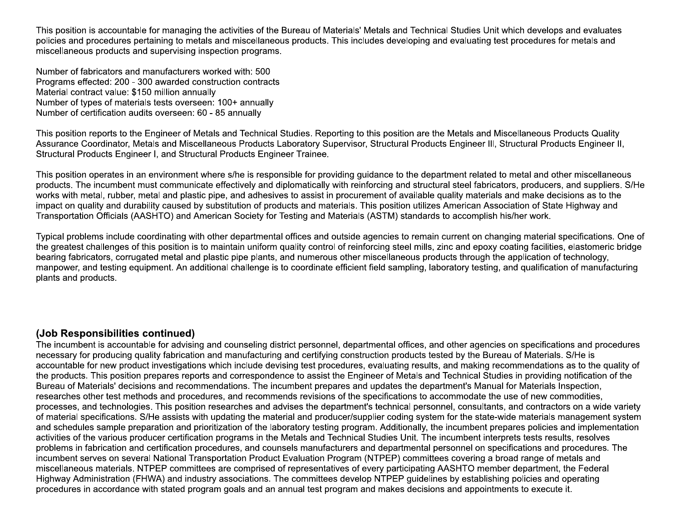This position is accountable for managing the activities of the Bureau of Materials' Metals and Technical Studies Unit which develops and evaluates policies and procedures pertaining to metals and miscellaneous products. This includes developing and evaluating test procedures for metals and miscellaneous products and supervising inspection programs.

Number of fabricators and manufacturers worked with: 500 Programs effected: 200 - 300 awarded construction contracts Material contract value: \$150 million annually Number of types of materials tests overseen: 100+ annually Number of certification audits overseen: 60 - 85 annually

This position reports to the Engineer of Metals and Technical Studies. Reporting to this position are the Metals and Miscellaneous Products Quality Assurance Coordinator, Metals and Miscellaneous Products Laboratory Supervisor, Structural Products Engineer III, Structural Products Engineer II, Structural Products Engineer I, and Structural Products Engineer Trainee.

This position operates in an environment where s/he is responsible for providing quidance to the department related to metal and other miscellaneous products. The incumbent must communicate effectively and diplomatically with reinforcing and structural steel fabricators, producers, and suppliers. S/He works with metal, rubber, metal and plastic pipe, and adhesives to assist in procurement of available quality materials and make decisions as to the impact on quality and durability caused by substitution of products and materials. This position utilizes American Association of State Highway and Transportation Officials (AASHTO) and American Society for Testing and Materials (ASTM) standards to accomplish his/her work.

Typical problems include coordinating with other departmental offices and outside agencies to remain current on changing material specifications. One of the greatest challenges of this position is to maintain uniform quality control of reinforcing steel mills, zinc and epoxy coating facilities, elastomeric bridge bearing fabricators, corrugated metal and plastic pipe plants, and numerous other miscellaneous products through the application of technology. manpower, and testing equipment. An additional challenge is to coordinate efficient field sampling, laboratory testing, and qualification of manufacturing plants and products.

#### (Job Responsibilities continued)

The incumbent is accountable for advising and counseling district personnel, departmental offices, and other agencies on specifications and procedures necessary for producing quality fabrication and manufacturing and certifying construction products tested by the Bureau of Materials. S/He is accountable for new product investigations which include devising test procedures, evaluating results, and making recommendations as to the quality of the products. This position prepares reports and correspondence to assist the Engineer of Metals and Technical Studies in providing notification of the Bureau of Materials' decisions and recommendations. The incumbent prepares and updates the department's Manual for Materials Inspection, researches other test methods and procedures, and recommends revisions of the specifications to accommodate the use of new commodities, processes, and technologies. This position researches and advises the department's technical personnel, consultants, and contractors on a wide variety of material specifications. S/He assists with updating the material and producer/supplier coding system for the state-wide materials management system and schedules sample preparation and prioritization of the laboratory testing program. Additionally, the incumbent prepares policies and implementation activities of the various producer certification programs in the Metals and Technical Studies Unit. The incumbent interprets tests results, resolves problems in fabrication and certification procedures, and counsels manufacturers and departmental personnel on specifications and procedures. The incumbent serves on several National Transportation Product Evaluation Program (NTPEP) committees covering a broad range of metals and miscellaneous materials. NTPEP committees are comprised of representatives of every participating AASHTO member department, the Federal Highway Administration (FHWA) and industry associations. The committees develop NTPEP quidelines by establishing policies and operating procedures in accordance with stated program goals and an annual test program and makes decisions and appointments to execute it.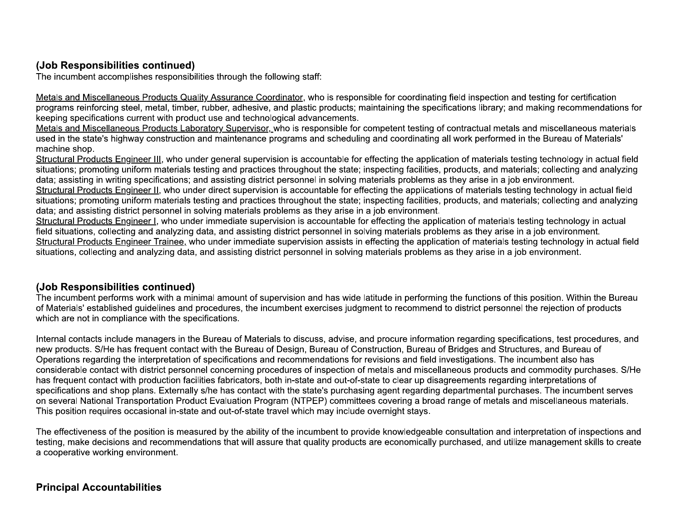# (Job Responsibilities continued)

The incumbent accomplishes responsibilities through the following staff:

Metals and Miscellaneous Products Quality Assurance Coordinator, who is responsible for coordinating field inspection and testing for certification programs reinforcing steel, metal, timber, rubber, adhesive, and plastic products; maintaining the specifications library; and making recommendations for keeping specifications current with product use and technological advancements.

Metals and Miscellaneous Products Laboratory Supervisor, who is responsible for competent testing of contractual metals and miscellaneous materials used in the state's highway construction and maintenance programs and scheduling and coordinating all work performed in the Bureau of Materials' machine shop.

Structural Products Engineer III, who under general supervision is accountable for effecting the application of materials testing technology in actual field situations; promoting uniform materials testing and practices throughout the state; inspecting facilities, products, and materials; collecting and analyzing data; assisting in writing specifications; and assisting district personnel in solving materials problems as they arise in a job environment.

Structural Products Engineer II, who under direct supervision is accountable for effecting the applications of materials testing technology in actual field situations; promoting uniform materials testing and practices throughout the state; inspecting facilities, products, and materials; collecting and analyzing data; and assisting district personnel in solving materials problems as they arise in a job environment.

Structural Products Engineer I, who under immediate supervision is accountable for effecting the application of materials testing technology in actual field situations, collecting and analyzing data, and assisting district personnel in solving materials problems as they arise in a job environment. Structural Products Engineer Trainee, who under immediate supervision assists in effecting the application of materials testing technology in actual field situations, collecting and analyzing data, and assisting district personnel in solving materials problems as they arise in a job environment.

## (Job Responsibilities continued)

The incumbent performs work with a minimal amount of supervision and has wide latitude in performing the functions of this position. Within the Bureau of Materials' established guidelines and procedures, the incumbent exercises judgment to recommend to district personnel the rejection of products which are not in compliance with the specifications.

Internal contacts include managers in the Bureau of Materials to discuss, advise, and procure information regarding specifications, test procedures, and new products. S/He has frequent contact with the Bureau of Design, Bureau of Construction, Bureau of Bridges and Structures, and Bureau of Operations regarding the interpretation of specifications and recommendations for revisions and field investigations. The incumbent also has considerable contact with district personnel concerning procedures of inspection of metals and miscellaneous products and commodity purchases. S/He has frequent contact with production facilities fabricators, both in-state and out-of-state to clear up disagreements regarding interpretations of specifications and shop plans. Externally s/he has contact with the state's purchasing agent regarding departmental purchases. The incumbent serves on several National Transportation Product Evaluation Program (NTPEP) committees covering a broad range of metals and miscellaneous materials. This position requires occasional in-state and out-of-state travel which may include overnight stays.

The effectiveness of the position is measured by the ability of the incumbent to provide knowledgeable consultation and interpretation of inspections and testing, make decisions and recommendations that will assure that quality products are economically purchased, and utilize management skills to create a cooperative working environment.

## **Principal Accountabilities**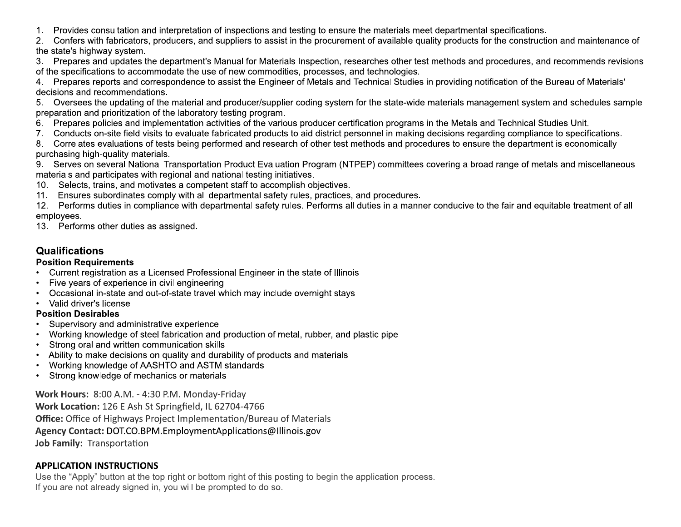- 1. Provides consultation and interpretation of inspections and testing to ensure the materials meet departmental specifications.
- $2.$ Confers with fabricators, producers, and suppliers to assist in the procurement of available quality products for the construction and maintenance of the state's highway system.
- Prepares and updates the department's Manual for Materials Inspection, researches other test methods and procedures, and recommends revisions  $3<sub>1</sub>$ of the specifications to accommodate the use of new commodities, processes, and technologies.
- Prepares reports and correspondence to assist the Engineer of Metals and Technical Studies in providing notification of the Bureau of Materials' 4. decisions and recommendations.
- Oversees the updating of the material and producer/supplier coding system for the state-wide materials management system and schedules sample 5. preparation and prioritization of the laboratory testing program.
- Prepares policies and implementation activities of the various producer certification programs in the Metals and Technical Studies Unit.  $6.$
- 7. Conducts on-site field visits to evaluate fabricated products to aid district personnel in making decisions regarding compliance to specifications.
- Correlates evaluations of tests being performed and research of other test methods and procedures to ensure the department is economically 8. purchasing high-quality materials.
- 9. Serves on several National Transportation Product Evaluation Program (NTPEP) committees covering a broad range of metals and miscellaneous materials and participates with regional and national testing initiatives.
- 10. Selects, trains, and motivates a competent staff to accomplish objectives.
- 11. Ensures subordinates comply with all departmental safety rules, practices, and procedures.
- 12. Performs duties in compliance with departmental safety rules. Performs all duties in a manner conducive to the fair and equitable treatment of all employees.
- 13. Performs other duties as assigned.

# **Qualifications**

### **Position Requirements**

- Current registration as a Licensed Professional Engineer in the state of Illinois
- Five years of experience in civil engineering
- Occasional in-state and out-of-state travel which may include overnight stays  $\bullet$
- Valid driver's license

#### **Position Desirables**

- Supervisory and administrative experience
- Working knowledge of steel fabrication and production of metal, rubber, and plastic pipe
- Strong oral and written communication skills
- Ability to make decisions on quality and durability of products and materials
- Working knowledge of AASHTO and ASTM standards
- Strong knowledge of mechanics or materials

Work Hours: 8:00 A.M. - 4:30 P.M. Monday-Friday

Work Location: 126 E Ash St Springfield, IL 62704-4766 **Office:** Office of Highways Project Implementation/Bureau of Materials Agency Contact: DOT.CO.BPM.EmploymentApplications@Illinois.gov Job Family: Transportation

# **APPLICATION INSTRUCTIONS**

Use the "Apply" button at the top right or bottom right of this posting to begin the application process. If you are not already signed in, you will be prompted to do so.